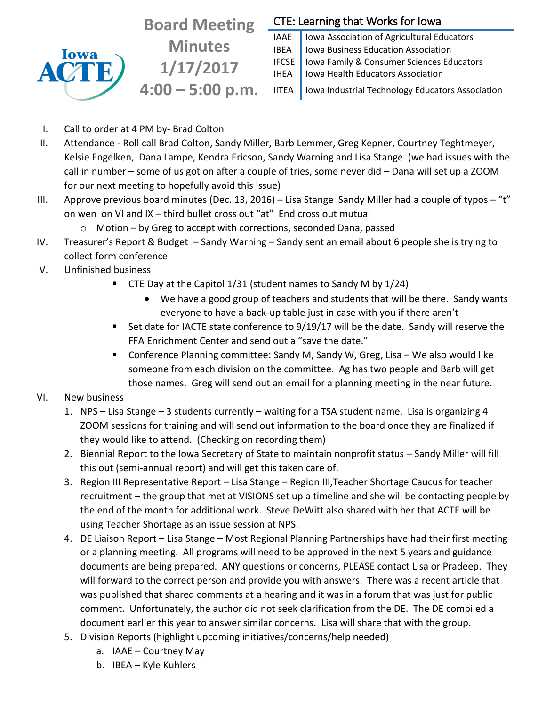

**Board Meeting Minutes 1/17/2017 4:00 – 5:00 p.m.**

## CTE: Learning that Works for Iowa

IAAE | Iowa Association of Agricultural Educators **IBEA** | Iowa Business Education Association IFCSE Iowa Family & Consumer Sciences Educators IHEA | Iowa Health Educators Association

IITEA | Iowa Industrial Technology Educators Association

- I. Call to order at 4 PM by- Brad Colton
- II. Attendance Roll call Brad Colton, Sandy Miller, Barb Lemmer, Greg Kepner, Courtney Teghtmeyer, Kelsie Engelken, Dana Lampe, Kendra Ericson, Sandy Warning and Lisa Stange (we had issues with the call in number – some of us got on after a couple of tries, some never did – Dana will set up a ZOOM for our next meeting to hopefully avoid this issue)
- III. Approve previous board minutes (Dec. 13, 2016) Lisa Stange Sandy Miller had a couple of typos "t" on wen on VI and IX – third bullet cross out "at" End cross out mutual
	- o Motion by Greg to accept with corrections, seconded Dana, passed
- IV. Treasurer's Report & Budget Sandy Warning Sandy sent an email about 6 people she is trying to collect form conference
- V. Unfinished business
	- CTE Day at the Capitol 1/31 (student names to Sandy M by 1/24)
		- We have a good group of teachers and students that will be there. Sandy wants everyone to have a back-up table just in case with you if there aren't
	- Set date for IACTE state conference to 9/19/17 will be the date. Sandy will reserve the FFA Enrichment Center and send out a "save the date."
	- Conference Planning committee: Sandy M, Sandy W, Greg, Lisa We also would like someone from each division on the committee. Ag has two people and Barb will get those names. Greg will send out an email for a planning meeting in the near future.
- VI. New business
	- 1. NPS Lisa Stange 3 students currently waiting for a TSA student name. Lisa is organizing 4 ZOOM sessions for training and will send out information to the board once they are finalized if they would like to attend. (Checking on recording them)
	- 2. Biennial Report to the Iowa Secretary of State to maintain nonprofit status Sandy Miller will fill this out (semi-annual report) and will get this taken care of.
	- 3. Region III Representative Report Lisa Stange Region III,Teacher Shortage Caucus for teacher recruitment – the group that met at VISIONS set up a timeline and she will be contacting people by the end of the month for additional work. Steve DeWitt also shared with her that ACTE will be using Teacher Shortage as an issue session at NPS.
	- 4. DE Liaison Report Lisa Stange Most Regional Planning Partnerships have had their first meeting or a planning meeting. All programs will need to be approved in the next 5 years and guidance documents are being prepared. ANY questions or concerns, PLEASE contact Lisa or Pradeep. They will forward to the correct person and provide you with answers. There was a recent article that was published that shared comments at a hearing and it was in a forum that was just for public comment. Unfortunately, the author did not seek clarification from the DE. The DE compiled a document earlier this year to answer similar concerns. Lisa will share that with the group.
	- 5. Division Reports (highlight upcoming initiatives/concerns/help needed)
		- a. IAAE Courtney May
		- b. IBEA Kyle Kuhlers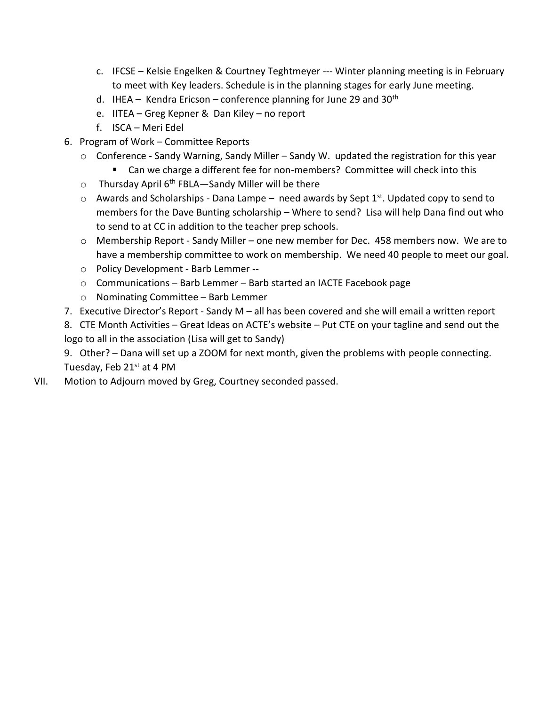- c. IFCSE Kelsie Engelken & Courtney Teghtmeyer --- Winter planning meeting is in February to meet with Key leaders. Schedule is in the planning stages for early June meeting.
- d. IHEA Kendra Ericson conference planning for June 29 and  $30<sup>th</sup>$
- e. IITEA Greg Kepner & Dan Kiley no report
- f. ISCA Meri Edel
- 6. Program of Work Committee Reports
	- o Conference Sandy Warning, Sandy Miller Sandy W. updated the registration for this year
		- Can we charge a different fee for non-members? Committee will check into this
	- $\circ$  Thursday April 6<sup>th</sup> FBLA—Sandy Miller will be there
	- $\circ$  Awards and Scholarships Dana Lampe need awards by Sept 1st. Updated copy to send to members for the Dave Bunting scholarship – Where to send? Lisa will help Dana find out who to send to at CC in addition to the teacher prep schools.
	- $\circ$  Membership Report Sandy Miller one new member for Dec. 458 members now. We are to have a membership committee to work on membership. We need 40 people to meet our goal.
	- o Policy Development Barb Lemmer --
	- o Communications Barb Lemmer Barb started an IACTE Facebook page
	- o Nominating Committee Barb Lemmer
- 7. Executive Director's Report Sandy M all has been covered and she will email a written report
- 8. CTE Month Activities Great Ideas on ACTE's website Put CTE on your tagline and send out the logo to all in the association (Lisa will get to Sandy)
- 9. Other? Dana will set up a ZOOM for next month, given the problems with people connecting. Tuesday, Feb 21<sup>st</sup> at 4 PM
- VII. Motion to Adjourn moved by Greg, Courtney seconded passed.